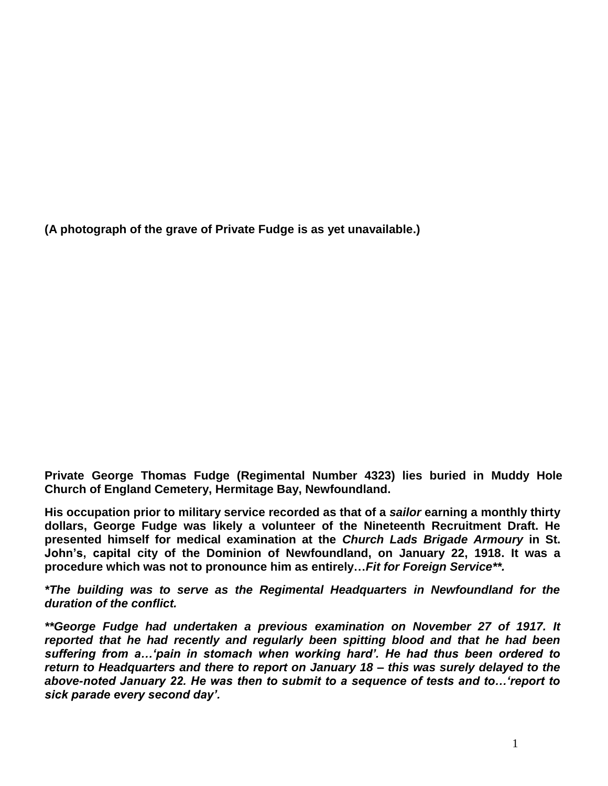**(A photograph of the grave of Private Fudge is as yet unavailable.)**

**Private George Thomas Fudge (Regimental Number 4323) lies buried in Muddy Hole Church of England Cemetery, Hermitage Bay, Newfoundland.**

**His occupation prior to military service recorded as that of a** *sailor* **earning a monthly thirty dollars, George Fudge was likely a volunteer of the Nineteenth Recruitment Draft. He presented himself for medical examination at the** *Church Lads Brigade Armoury* **in St. John's, capital city of the Dominion of Newfoundland, on January 22, 1918. It was a procedure which was not to pronounce him as entirely…***Fit for Foreign Service\*\*.* 

*\*The building was to serve as the Regimental Headquarters in Newfoundland for the duration of the conflict.*

*\*\*George Fudge had undertaken a previous examination on November 27 of 1917. It reported that he had recently and regularly been spitting blood and that he had been suffering from a…'pain in stomach when working hard'. He had thus been ordered to return to Headquarters and there to report on January 18 – this was surely delayed to the above-noted January 22. He was then to submit to a sequence of tests and to…'report to sick parade every second day'.*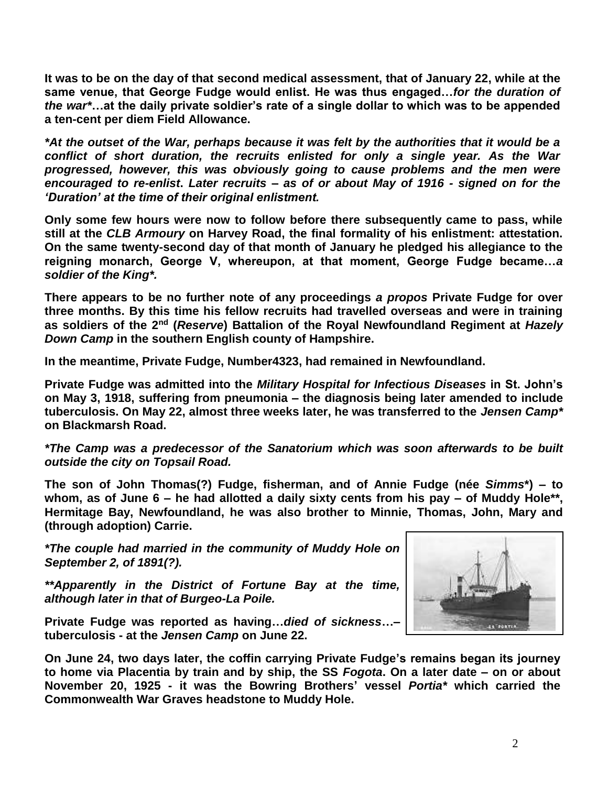**It was to be on the day of that second medical assessment, that of January 22, while at the same venue, that George Fudge would enlist. He was thus engaged…***for the duration of the war\****…at the daily private soldier's rate of a single dollar to which was to be appended a ten-cent per diem Field Allowance.**

*\*At the outset of the War, perhaps because it was felt by the authorities that it would be a conflict of short duration, the recruits enlisted for only a single year. As the War progressed, however, this was obviously going to cause problems and the men were encouraged to re-enlist***.** *Later recruits – as of or about May of 1916 - signed on for the 'Duration' at the time of their original enlistment.*

**Only some few hours were now to follow before there subsequently came to pass, while still at the** *CLB Armoury* **on Harvey Road, the final formality of his enlistment: attestation. On the same twenty-second day of that month of January he pledged his allegiance to the reigning monarch, George V, whereupon, at that moment, George Fudge became…***a soldier of the King\*.*

**There appears to be no further note of any proceedings** *a propos* **Private Fudge for over three months. By this time his fellow recruits had travelled overseas and were in training as soldiers of the 2nd (***Reserve***) Battalion of the Royal Newfoundland Regiment at** *Hazely Down Camp* **in the southern English county of Hampshire.** 

**In the meantime, Private Fudge, Number4323, had remained in Newfoundland.**

**Private Fudge was admitted into the** *Military Hospital for Infectious Diseases* **in St. John's on May 3, 1918, suffering from pneumonia – the diagnosis being later amended to include tuberculosis. On May 22, almost three weeks later, he was transferred to the** *Jensen Camp\** **on Blackmarsh Road.**

*\*The Camp was a predecessor of the Sanatorium which was soon afterwards to be built outside the city on Topsail Road.* 

**The son of John Thomas(?) Fudge, fisherman, and of Annie Fudge (née** *Simms***\*) – to whom, as of June 6 – he had allotted a daily sixty cents from his pay – of Muddy Hole\*\*, Hermitage Bay, Newfoundland, he was also brother to Minnie, Thomas, John, Mary and (through adoption) Carrie.**

*\*The couple had married in the community of Muddy Hole on September 2, of 1891(?).*

*\*\*Apparently in the District of Fortune Bay at the time, although later in that of Burgeo-La Poile.*



**Private Fudge was reported as having…***died of sickness***…– tuberculosis - at the** *Jensen Camp* **on June 22.**

**On June 24, two days later, the coffin carrying Private Fudge's remains began its journey to home via Placentia by train and by ship, the SS** *Fogota***. On a later date – on or about November 20, 1925 - it was the Bowring Brothers' vessel** *Portia\** **which carried the Commonwealth War Graves headstone to Muddy Hole.**